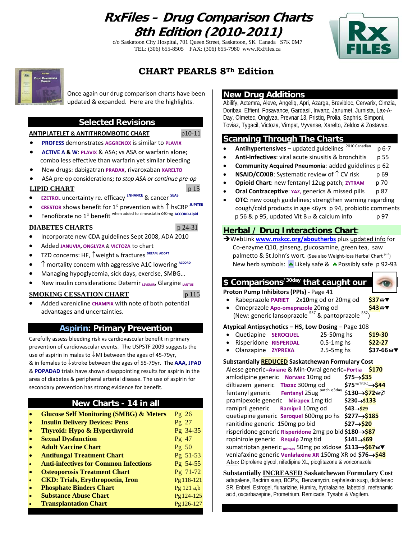### **RxFiles – Drug Comparison Charts 8th Edition (2010-2011)**

c/o Saskatoon City Hospital, 701 Queen Street, Saskatoon, SK Canada S7K 0M7 TEL: (306) 655-8505 FAX: (306) 655-7980 www.RxFiles.ca





### **CHART PEARLS 8Th Edition**

Once again our drug comparison charts have been updated & expanded. Here are the highlights.

### **Selected Revisions**

#### **ANTIPLATELET & ANTITHROMBOTIC CHART** p10‐11

- **PROFESS** demonstrates **AGGRENOX** is similar to **PLAVIX**
- **ACTIVE A & W**: **PLAVIX** & ASA; vs ASA or warfarin alone; combo less effective than warfarin yet similar bleeding
- New drugs: dabigatran **PRADAX**, rivaroxaban **XARELTO**
- ASA pre‐op considerations; *to stop ASA or continue pre‐op*

#### **LIPID CHART** p 15

- **EZETROL** uncertainty re. efficacy **ENHANCE** & cancer **SEAS**
- **CRESTOR** shows benefit for 1° prevention with ↑ hsCRP **JUPITER**
- Fenofibrate no 1° benefit when added to simvastatin ≤40mg **ACCORD‐Lipid**

#### **DIABETES CHARTS** p 24-31

- Incorporate new CDA guidelines Sept 2008, ADA 2010
- Added **JANUVIA, ONGLYZA** & **VICTOZA** to chart
- TZD concerns: HF, ↑weight & fractures **DREAM, ADOPT**
- ↑ mortality concern with aggressive A1C lowering **ACCORD**
- Managing hypoglycemia, sick days, exercise, SMBG…
- New insulin considerations: Detemir **LEVEMIR**, Glargine **LANTUS**

#### **SMOKING CESSATION CHART** p 115

• Added varenicline **CHAMPIX** with note of both potential advantages and uncertainties.

#### **Aspirin: Primary Prevention**

Carefully assess bleeding risk vs cardiovascular benefit in primary prevention of cardiovascular events. The USPSTF 2009 suggests the use of aspirin in males to ↓MI between the ages of 45‐79yr, & in females to ↓stroke between the ages of 55‐79yr. The **AAA, JPAD** & **POPADAD** trials have shown disappointing results for aspirin in the area of diabetes & peripheral arterial disease. The use of aspirin for secondary prevention has strong evidence for benefit.

#### **New Charts - 14 in all**

| <b>Glucose Self Monitoring (SMBG) &amp; Meters</b> | Pg 26<br>$Pg$ 27 |
|----------------------------------------------------|------------------|
|                                                    |                  |
| <b>Insulin Delivery Devices: Pens</b>              |                  |
| Thyroid: Hypo & Hyperthyroid                       | Pg 34-35         |
| <b>Sexual Dysfunction</b>                          | $Pg$ 47          |
| <b>Adult Vaccine Chart</b>                         | $Pg \ 50$        |
| <b>Antifungal Treatment Chart</b>                  | Pg 51-53         |
| <b>Anti-infectives for Common Infections</b>       | Pg 54-55         |
| <b>Osteoporosis Treatment Chart</b>                | Pg 71-72         |
| <b>CKD: Trials, Erythropoetin, Iron</b>            | Pg 118-121       |
| <b>Phosphate Binders Chart</b>                     | Pg $121$ a,b     |
| <b>Substance Abuse Chart</b>                       | Pg 124-125       |
| <b>Transplantation Chart</b>                       | Pg 126-127       |

### **New Drug Additions**

Abilify, Actemra, Aleve, Angeliq, Apri, Azarga, Brevibloc, Cervarix, Cimzia, Doribax, Effient, Fosavance, Gardasil, Invanz, Janumet, Jurnista, Lax-A-Day, Olmetec, Onglyza, Prevnar 13, Pristiq, Prolia, Saphris, Simponi, Toviaz, Tygacil, Victoza, Vimpat, Vyvanse, Xarelto, Zeldox & Zostavax.

#### **Scanning Through The Charts**

- **Antihypertensives** updated guidelines <sup>2010</sup> Canadian p 6‐7
- **Anti‐infectives**: viral acute sinusitis & bronchitis p 55
- **Community Acquired Pneumonia**: added guidelines p 62
- **NSAID/COXIB:** Systematic review of  $\uparrow$  CV risk p 69
- **Opioid Chart**: new fentanyl 12ug patch; **ZYTRAM** p 70
- **Oral Contraceptive**: **YAZ,** generics & missed pills p 87
- **OTC:** new cough guidelines; strengthen warning regarding cough/cold products in age <6yrs p 94, probiotic comments  $p$  56 & p 95, updated Vit  $B_{12}$  & calcium info  $p$  97

#### **Herbal / Drug Interactions Chart**:

ÎWebLink **www.mskcc.org/aboutherbs** plus updated info for Co‐enzyme Q10, ginseng, glucosamine, green tea, saw palmetto & St John's wort. (See also Weight-loss Herbal Chart <sup>p32</sup>) New herb symbols:  $\triangleq$  Likely safe &  $\triangleq$  Possibly safe p 92-93

#### **\$ Comparisons/30day that caught our**

**Proton Pump Inhibitors (PPIs) ‐** Page 41

- Rabeprazole **PARIET** 2x**10**mg od or 20mg od **\$37**W
- Omeprazole **Apo‐omeprazole** 20mg od **\$43**W
- (New: generic lansoprazole \$57 & pantoprazole \$52)

#### **Atypical Antipsychotics – HS, Low Dosing** – Page 108

- Quetiapine **SEROQUEL** 25‐50mg hs **\$19‐30** • Risperidone **RISPERDAL** 0.5‐1mg hs **\$22‐27**
- Olanzapine **ZYPREXA** 2.5‐5mg hs **\$37‐66**W

#### **Substantially REDUCED Saskatchewan Formulary Cost**

| Alesse generic=Aviane & Min-Ovral generic=Portia \$170                 |  |  |  |
|------------------------------------------------------------------------|--|--|--|
| amlodipine generic Norvasc 10mg od<br>$$75 \rightarrow $35$            |  |  |  |
| \$75 <sup>reg TIAZAC</sup> > \$44<br>diltiazem generic Tiazac 300mg od |  |  |  |
| fentanyl generic Fentanyl 25ug patch q3day<br>\$130→\$72a⊘             |  |  |  |
| $$230 \rightarrow $133$<br>pramipexole generic Mirapex 1mg tid         |  |  |  |
| \$43->\$29<br>ramipril generic Ramipril 10mg od                        |  |  |  |
| \$277->\$185<br>quetiapine generic Seroquel 600mg po hs                |  |  |  |
| \$27→\$20<br>ranitidine generic 150mg po bid                           |  |  |  |
| risperidone generic Risperidone 2mg po bid \$180→\$87                  |  |  |  |
| $$141 \rightarrow $69$<br>ropinirole generic Requip 2mg tid            |  |  |  |
| sumatriptan generic <sub>Imitrex</sub> 50mg po x6dose \$113→\$67a▼     |  |  |  |
| venlafaxine generic Venlafaxine XR 150mg XR od \$76→\$48               |  |  |  |
| Also: Diprolene glycol, nifedipine XL, pioglitazone & voriconazole     |  |  |  |

**Substantially INCREASED Saskatchewan Formulary Cost** adapalene, Bactrim susp, BCP's, Benzamycin, cephalexin susp, diclofenac SR, Enbrel, Estrogel, flunarizine, Humira, hydralazine, labetolol, mefenamic acid, oxcarbazepine, Prometrium, Remicade, Tysabri & Vagifem.